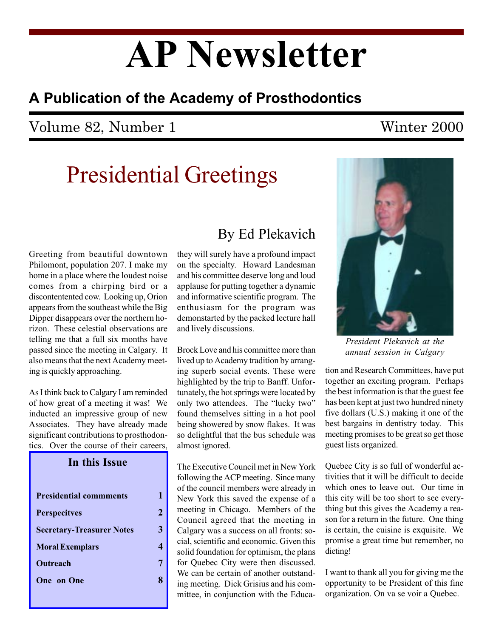# AP Newsletter

### A Publication of the Academy of Prosthodontics

### Volume 82, Number 1 Winter 2000

## Presidential Greetings

Greeting from beautiful downtown Philomont, population 207. I make my home in a place where the loudest noise comes from a chirping bird or a discontentented cow. Looking up, Orion appears from the southeast while the Big Dipper disappears over the northern horizon. These celestial observations are telling me that a full six months have passed since the meeting in Calgary. It also means that the next Academy meeting is quickly approaching.

As I think back to Calgary I am reminded of how great of a meeting it was! We inducted an impressive group of new Associates. They have already made significant contributions to prosthodontics. Over the course of their careers,

| In this Issue                    |
|----------------------------------|
| <b>Presidential commments</b>    |
| <b>Perspecitves</b>              |
| <b>Secretary-Treasurer Notes</b> |
| <b>Moral Exemplars</b>           |
| Outreach                         |
| <b>One</b> on One                |
|                                  |

1 2

3

4

7

8

### By Ed Plekavich

they will surely have a profound impact on the specialty. Howard Landesman and his committee deserve long and loud applause for putting together a dynamic and informative scientific program. The enthusiasm for the program was demonstarted by the packed lecture hall and lively discussions.

Brock Love and his committee more than lived up to Academy tradition by arranging superb social events. These were highlighted by the trip to Banff. Unfortunately, the hot springs were located by only two attendees. The "lucky two" found themselves sitting in a hot pool being showered by snow flakes. It was so delightful that the bus schedule was almost ignored.

The Executive Council met in New York following the ACP meeting. Since many of the council members were already in New York this saved the expense of a meeting in Chicago. Members of the Council agreed that the meeting in Calgary was a success on all fronts: social, scientific and economic. Given this solid foundation for optimism, the plans for Quebec City were then discussed. We can be certain of another outstanding meeting. Dick Grisius and his committee, in conjunction with the Educa-



President Plekavich at the annual session in Calgary

tion and Research Committees, have put together an exciting program. Perhaps the best information is that the guest fee has been kept at just two hundred ninety five dollars (U.S.) making it one of the best bargains in dentistry today. This meeting promises to be great so get those guest lists organized.

Quebec City is so full of wonderful activities that it will be difficult to decide which ones to leave out. Our time in this city will be too short to see everything but this gives the Academy a reason for a return in the future. One thing is certain, the cuisine is exquisite. We promise a great time but remember, no dieting!

I want to thank all you for giving me the opportunity to be President of this fine organization. On va se voir a Quebec.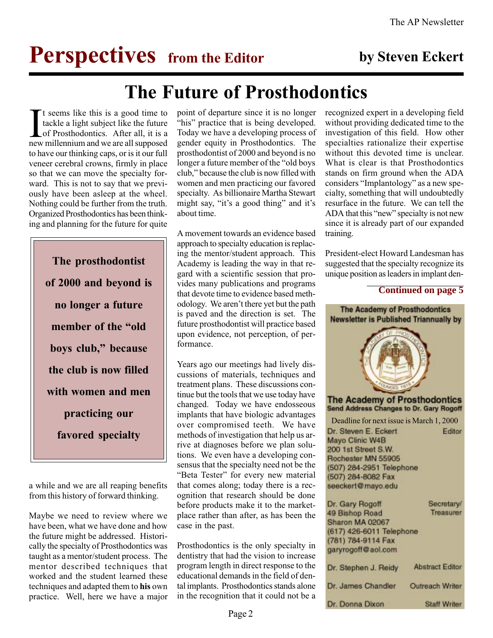## **Perspectives** from the Editor by Steven Eckert

## The Future of Prosthodontics

It seems like this is a good time to tackle a light subject like the future of Prosthodontics. After all, it is a new millennium and we are all supposed t seems like this is a good time to tackle a light subject like the future of Prosthodontics. After all, it is a to have our thinking caps, or is it our full veneer cerebral crowns, firmly in place so that we can move the specialty forward. This is not to say that we previously have been asleep at the wheel. Nothing could be further from the truth. Organized Prosthodontics has been thinking and planning for the future for quite

The prosthodontist of 2000 and beyond is no longer a future member of the "old boys club," because the club is now filled with women and men practicing our favored specialty

a while and we are all reaping benefits from this history of forward thinking.

Maybe we need to review where we have been, what we have done and how the future might be addressed. Historically the specialty of Prosthodontics was taught as a mentor/student process. The mentor described techniques that worked and the student learned these techniques and adapted them to his own practice. Well, here we have a major

point of departure since it is no longer "his" practice that is being developed. Today we have a developing process of gender equity in Prosthodontics. The prosthodontist of 2000 and beyond is no longer a future member of the "old boys" club," because the club is now filled with women and men practicing our favored specialty. As billionaire Martha Stewart might say, "it's a good thing" and it's about time.

A movement towards an evidence based approach to specialty education is replacing the mentor/student approach. This Academy is leading the way in that regard with a scientific session that provides many publications and programs that devote time to evidence based methodology. We aren't there yet but the path is paved and the direction is set. The future prosthodontist will practice based upon evidence, not perception, of performance.

Years ago our meetings had lively discussions of materials, techniques and treatment plans. These discussions continue but the tools that we use today have changed. Today we have endosseous implants that have biologic advantages over compromised teeth. We have methods of investigation that help us arrive at diagnoses before we plan solutions. We even have a developing consensus that the specialty need not be the "Beta Tester" for every new material that comes along; today there is a recognition that research should be done before products make it to the marketplace rather than after, as has been the case in the past.

Prosthodontics is the only specialty in dentistry that had the vision to increase program length in direct response to the educational demands in the field of dental implants. Prosthodontics stands alone in the recognition that it could not be a

recognized expert in a developing field without providing dedicated time to the investigation of this field. How other specialties rationalize their expertise without this devoted time is unclear. What is clear is that Prosthodontics stands on firm ground when the ADA considers "Implantology" as a new specialty, something that will undoubtedly resurface in the future. We can tell the ADA that this "new" specialty is not new since it is already part of our expanded training.

President-elect Howard Landesman has suggested that the specialty recognize its unique position as leaders in implant den-

#### **Continued on page 5**

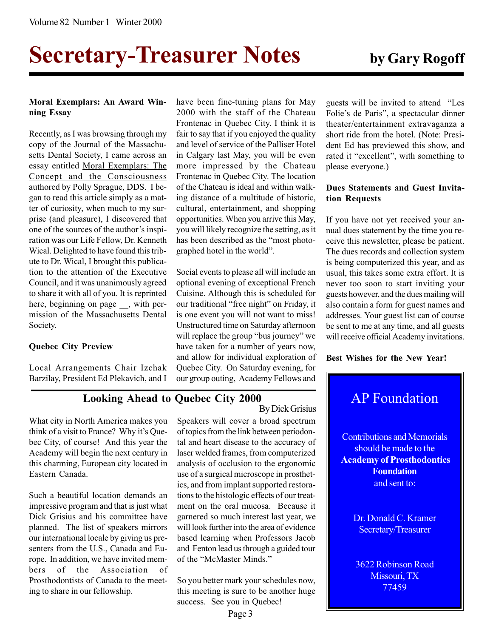# Secretary-Treasurer Notes by Gary Rogoff

#### Moral Exemplars: An Award Winning Essay

Recently, as I was browsing through my copy of the Journal of the Massachusetts Dental Society, I came across an essay entitled Moral Exemplars: The Concept and the Consciousness authored by Polly Sprague, DDS. I began to read this article simply as a matter of curiosity, when much to my surprise (and pleasure), I discovered that one of the sources of the author's inspiration was our Life Fellow, Dr. Kenneth Wical. Delighted to have found this tribute to Dr. Wical, I brought this publication to the attention of the Executive Council, and it was unanimously agreed to share it with all of you. It is reprinted here, beginning on page \_\_, with permission of the Massachusetts Dental Society.

#### Quebec City Preview

Local Arrangements Chair Izchak Barzilay, President Ed Plekavich, and I have been fine-tuning plans for May 2000 with the staff of the Chateau Frontenac in Quebec City. I think it is fair to say that if you enjoyed the quality and level of service of the Palliser Hotel in Calgary last May, you will be even more impressed by the Chateau Frontenac in Quebec City. The location of the Chateau is ideal and within walking distance of a multitude of historic, cultural, entertainment, and shopping opportunities. When you arrive this May, you will likely recognize the setting, as it has been described as the "most photographed hotel in the world".

Social events to please all will include an optional evening of exceptional French Cuisine. Although this is scheduled for our traditional "free night" on Friday, it is one event you will not want to miss! Unstructured time on Saturday afternoon will replace the group "bus journey" we have taken for a number of years now, and allow for individual exploration of Quebec City. On Saturday evening, for our group outing, Academy Fellows and

#### Looking Ahead to Quebec City 2000

What city in North America makes you think of a visit to France? Why it's Ouebec City, of course! And this year the Academy will begin the next century in this charming, European city located in Eastern Canada.

Such a beautiful location demands an impressive program and that is just what Dick Grisius and his committee have planned. The list of speakers mirrors our international locale by giving us presenters from the U.S., Canada and Europe. In addition, we have invited members of the Association of Prosthodontists of Canada to the meeting to share in our fellowship.

Speakers will cover a broad spectrum of topics from the link between periodontal and heart disease to the accuracy of laser welded frames, from computerized analysis of occlusion to the ergonomic use of a surgical microscope in prosthetics, and from implant supported restorations to the histologic effects of our treatment on the oral mucosa. Because it garnered so much interest last year, we will look further into the area of evidence based learning when Professors Jacob and Fenton lead us through a guided tour of the "McMaster Minds." By Dick Grisius

So you better mark your schedules now, this meeting is sure to be another huge success. See you in Quebec!

guests will be invited to attend "Les Folie's de Paris", a spectacular dinner theater/entertainment extravaganza a short ride from the hotel. (Note: President Ed has previewed this show, and rated it "excellent", with something to please everyone.)

#### Dues Statements and Guest Invitation Requests

If you have not yet received your annual dues statement by the time you receive this newsletter, please be patient. The dues records and collection system is being computerized this year, and as usual, this takes some extra effort. It is never too soon to start inviting your guests however, and the dues mailing will also contain a form for guest names and addresses. Your guest list can of course be sent to me at any time, and all guests will receive official Academy invitations.

Best Wishes for the New Year!

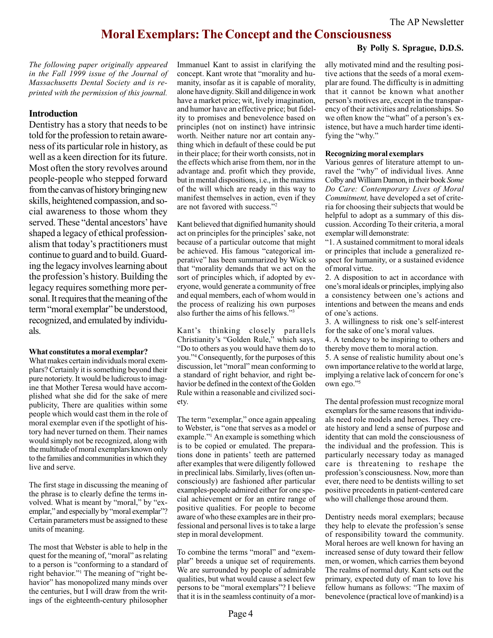### Moral Exemplars: The Concept and the Consciousness

#### By Polly S. Sprague, D.D.S.

The following paper originally appeared in the Fall 1999 issue of the Journal of Massachusetts Dental Society and is reprinted with the permission of this journal.

#### Introduction

Dentistry has a story that needs to be told for the profession to retain awareness of its particular role in history, as well as a keen direction for its future. Most often the story revolves around people-people who stepped forward from the canvas of history bringing new skills, heightened compassion, and social awareness to those whom they served. These "dental ancestors' have shaped a legacy of ethical professionalism that today's practitioners must continue to guard and to build. Guarding the legacy involves learning about the profession's history. Building the legacy requires something more personal. It requires that the meaning of the term "moral exemplar" be understood, recognized, and emulated by individuals.

#### What constitutes a moral exemplar?

What makes certain individuals moral exemplars? Certainly it is something beyond their pure notoriety. It would be ludicrous to imagine that Mother Teresa would have accomplished what she did for the sake of mere publicity, There are qualities within some people which would cast them in the role of moral exemplar even if the spotlight of history had never turned on them. Their names would simply not be recognized, along with the multitude of moral exemplars known only to the families and communities in which they live and serve.

The first stage in discussing the meaning of the phrase is to clearly define the terms involved. What is meant by "moral," by "exemplar," and especially by "moral exemplar"? Certain parameters must be assigned to these units of meaning.

The most that Webster is able to help in the quest for the meaning of, "moral" as relating to a person is "conforming to a standard of right behavior."<sup>1</sup> The meaning of "right behavior" has monopolized many minds over the centuries, but I will draw from the writings of the eighteenth-century philosopher

Immanuel Kant to assist in clarifying the concept. Kant wrote that "morality and humanity, insofar as it is capable of morality, alone have dignity. Skill and diligence in work have a market price; wit, lively imagination, and humor have an effective price; but fidelity to promises and benevolence based on principles (not on instinct) have intrinsic worth. Neither nature nor art contain anything which in default of these could be put in their place; for their worth consists, not in the effects which arise from them, nor in the advantage and. profit which they provide, but in mental dispositions, i.e., in the maxims of the will which are ready in this way to manifest themselves in action, even if they are not favored with success."<sup>2</sup>

Kant believed that dignified humanity should act on principles for the principles' sake, not because of a particular outcome that might be achieved. His famous "categorical imperative" has been summarized by Wick so that "morality demands that we act on the sort of principles which, if adopted by everyone, would generate a community of free and equal members, each of whom would in the process of realizing his own purposes also further the aims of his fellows."<sup>3</sup>

Kant's thinking closely parallels Christianity's "Golden Rule," which says, Do to others as you would have them do to you."<sup>4</sup> Consequently, for the purposes of this discussion, let "moral" mean conforming to a standard of right behavior, and right behavior be defined in the context of the Golden Rule within a reasonable and civilized society.

The term "exemplar," once again appealing to Webster, is "one that serves as a model or example."<sup>1</sup> An example is something which is to be copied or emulated. The preparations done in patients' teeth are patterned after examples that were diligently followed in preclinical labs. Similarly, lives (often unconsciously) are fashioned after particular examples-people admired either for one special achievement or for an entire range of positive qualities. For people to become aware of who these examples are in their professional and personal lives is to take a large step in moral development.

To combine the terms "moral" and "exemplar" breeds a unique set of requirements. We are surrounded by people of admirable qualities, but what would cause a select few persons to be "moral exemplars"? I believe that it is in the seamless continuity of a morally motivated mind and the resulting positive actions that the seeds of a moral exemplar are found. The difficulty is in admitting that it cannot be known what another person's motives are, except in the transparency of their activities and relationships. So we often know the "what" of a person's existence, but have a much harder time identifying the "why."

#### Recognizing moral exemplars

Various genres of literature attempt to unravel the "why" of individual lives. Anne Colby and William Damon, in their book Some Do Care: Contemporary Lives of Moral Commitment, have developed a set of criteria for choosing their subjects that would be helpful to adopt as a summary of this discussion. According To their criteria, a moral exemplar will demonstrate:

1. A sustained commitment to moral ideals or principles that include a generalized respect for humanity, or a sustained evidence of moral virtue.

2. A disposition to act in accordance with one's moral ideals or principles, implying also a consistency between one's actions and intentions and between the means and ends of one's actions.

3. A willingness to risk one's self-interest for the sake of one's moral values.

4. A tendency to be inspiring to others and thereby move them to moral action.

5. A sense of realistic humility about one's own importance relative to the world at large, implying a relative lack of concern for one's own ego."5

The dental profession must recognize moral exemplars for the same reasons that individuals need role models and heroes. They create history and lend a sense of purpose and identity that can mold the consciousness of the individual and the profession. This is particularly necessary today as managed care is threatening to reshape the profession's consciousness. Now, more than ever, there need to be dentists willing to set positive precedents in patient-centered care who will challenge those around them.

Dentistry needs moral exemplars; because they help to elevate the profession's sense of responsibility toward the community. Moral heroes are well known for having an increased sense of duty toward their fellow men, or women, which carries them beyond The realms of normal duty. Kant sets out the primary, expected duty of man to love his fellow humans as follows: "The maxim of benevolence (practical love of mankind) is a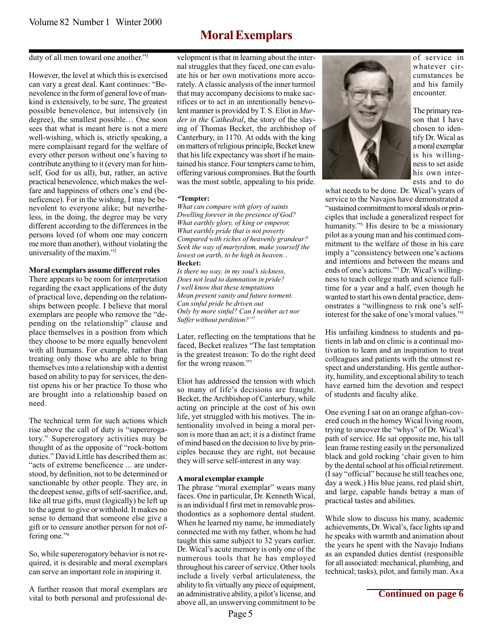### Moral Exemplars

#### duty of all men toward one another."<sup>2</sup>

However, the level at which this is exercised can vary a great deal. Kant continues: "Benevolence in the form of general love of mankind is extensively, to be sure, The greatest possible benevolence, but intensively (in degree), the smallest possible... One soon sees that what is meant here is not a mere well-wishing, which is, strictly speaking, a mere complaisant regard for the welfare of every other person without one's having to contribute anything to it (every man for himself, God for us all), but, rather, an active practical benevolence, which makes the welfare and happiness of others one's end (beneficence). For in the wishing, I may be benevolent to everyone alike; but nevertheless, in the doing, the degree may be very different according to the differences in the persons loved (of whom one may concern me more than another), without violating the universality of the maxim."<sup>2</sup>

#### Moral exemplars assume different roles

There appears to be room for interpretation regarding the exact applications of the duty of practical love, depending on the relationships between people. I believe that moral exemplars are people who remove the "depending on the relationship" clause and place themselves in a position from which they choose to be more equally benevolent with all humans. For example, rather than treating only those who are able to bring themselves into a relationship with a dentist based on ability to pay for services, the dentist opens his or her practice To those who are brought into a relationship based on need.

The technical term for such actions which rise above the call of duty is "supererogatory." Supererogatory activities may be thought of as the opposite of "rock-bottom" duties." David Little has described them as: acts of extreme beneficence ... are understood, by definition, not to be determined or sanctionable by other people. They are, in the deepest sense, gifts of self-sacrifice, and, like all true gifts, must (logically) be left up to the agent to give or withhold. It makes no sense to demand that someone else give a gift or to censure another person for not offering one."<sup>6</sup>

So, while supererogatory behavior is not required, it is desirable and moral exemplars can serve an important role in inspiring it.

A further reason that moral exemplars are vital to both personal and professional development is that in learning about the internal struggles that they faced, one can evaluate his or her own motivations more accurately. A classic analysis of the inner turmoil that may accompany decisions to make sacrifices or to act in an intentionally benevolent manner is provided by T. S. Eliot in Murder in the Cathedral, the story of the slaying of Thomas Becket, the archbishop of Canterbury, in 1170. At odds with the king on matters of religious principle, Becket knew that his life expectancy was short if he maintained his stance. Four tempters came to him, offering various compromises. But the fourth was the most subtle, appealing to his pride.

#### Tempter:

What can compare with glory of saints Dwelling forever in the presence of God? What earthly glory, of king or emperor, What earthly pride that is not poverty Compared with riches of heavenly grandeur? Seek the way of martyrdom, make yourself the lowest on earth, to be high in heaven... Becket:

Is there no way, in my soul's sickness, Does not lead to damnation in pride? I well know that these temptations Mean present vanity and future torment. Can sinful pride be driven out Only by more sinful? Can I neither act nor Suffer without perdition?"7

Later, reflecting on the temptations that he faced, Becket realizes "The last temptation is the greatest treason: To do the right deed for the wrong reason."7

Eliot has addressed the tension with which so many of life's decisions are fraught. Becket, the Archbishop of Canterbury, while acting on principle at the cost of his own life, yet struggled with his motives. The intentionality involved in being a moral person is more than an act; it is a distinct frame of mind based on the decision to live by principles because they are right, not because they will serve self-interest in any way.

#### A moral exemplar example

The phrase "moral exemplar" wears many faces. One in particular, Dr. Kenneth Wical, is an individual I first met in removable prosthodontics as a sophomore dental student. When he learned my name, he immediately connected me with my father, whom he had taught this same subject to 32 years earlier. Dr. Wical's acute memory is only one of the numerous tools that he has employed throughout his career of service. Other tools include a lively verbal articulateness, the ability to fix virtually any piece of equipment, an administrative ability, a pilot's license, and above all, an unswerving commitment to be



of service in whatever circumstances he and his family encounter.

The primary reason that I have chosen to identify Dr. Wical as a moral exemplar is his willingness to set aside his own interests and to do

what needs to be done. Dr. Wical's years of service to the Navajos have demonstrated a sustained commitment to moral ideals or principles that include a generalized respect for humanity."<sup>5</sup> His desire to be a missionary pilot as a young man and his continued commitment to the welfare of those in his care imply a "consistency between one's actions and intentions and between the means and ends of one's actions."<sup>5</sup> Dr. Wical's willingness to teach college math and science fulltime for a year and a half, even though he wanted to start his own dental practice, demonstrates a "willingness to risk one's selfinterest for the sake of one's moral values."<sup>5</sup>

His unfailing kindness to students and patients in lab and on clinic is a continual motivation to learn and an inspiration to treat colleagues and patients with the utmost respect and understanding. His gentle authority, humility, and exceptional ability to teach have earned him the devotion and respect of students and faculty alike.

One evening I sat on an orange afghan-covered couch in the homey Wical living room, trying to uncover the "whys" of Dr. Wical's path of service. He sat opposite me, his tall lean frame resting easily in the personalized black and gold rocking 'chair given to him by the dental school at his official retirement. (I say "official" because he still teaches one, day a week.) His blue jeans, red plaid shirt, and large, capable hands betray a man of practical tastes and abilities.

While slow to discuss his many, academic achievements, Dr. Wical's, face lights up and he speaks with warmth and animation about the years he spent with the Navajo Indians as an expanded duties dentist (responsible for all associated: mechanical, plumbing, and technical; tasks), pilot, and family man. As a

**Continued on page 6**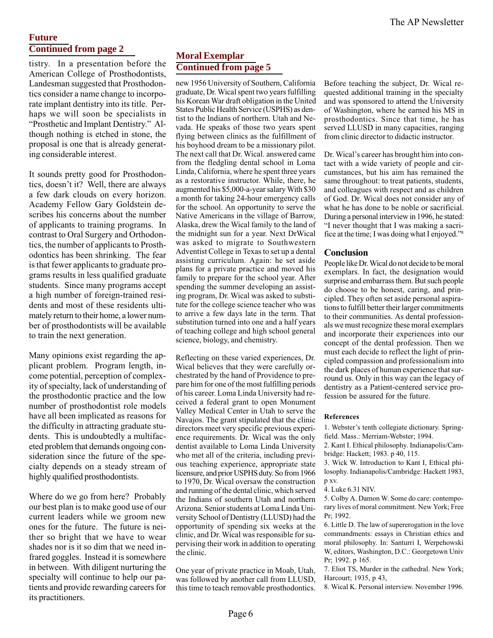#### **Future Continued from page 2**

tistry. In a presentation before the American College of Prosthodontists, Landesman suggested that Prosthodontics consider a name change to incorporate implant dentistry into its title. Perhaps we will soon be specialists in "Prosthetic and Implant Dentistry." Although nothing is etched in stone, the proposal is one that is already generating considerable interest.

It sounds pretty good for Prosthodontics, doesn't it? Well, there are always a few dark clouds on every horizon. Academy Fellow Gary Goldstein describes his concerns about the number of applicants to training programs. In contrast to Oral Surgery and Orthodontics, the number of applicants to Prosthodontics has been shrinking. The fear is that fewer applicants to graduate programs results in less qualified graduate students. Since many programs accept a high number of foreign-trained residents and most of these residents ultimately return to their home, a lower number of prosthodontists will be available to train the next generation.

Many opinions exist regarding the applicant problem. Program length, income potential, perception of complexity of specialty, lack of understanding of the prosthodontic practice and the low number of prosthodontist role models have all been implicated as reasons for the difficulty in attracting graduate students. This is undoubtedly a multifaceted problem that demands ongoing consideration since the future of the specialty depends on a steady stream of highly qualified prosthodontists.

Where do we go from here? Probably our best plan is to make good use of our current leaders while we groom new ones for the future. The future is neither so bright that we have to wear shades nor is it so dim that we need infrared goggles. Instead it is somewhere in between. With diligent nurturing the specialty will continue to help our patients and provide rewarding careers for its practitioners.

### **Moral Exemplar Continued from page 5**

new 1956 University of Southern, California graduate, Dr. Wical spent two years fulfilling his Korean War draft obligation in the United States Public Health Service (USPHS) as dentist to the Indians of northern. Utah and Nevada. He speaks of those two years spent flying between clinics as the fulfillment of his boyhood dream to be a missionary pilot. The next call that Dr. Wical. answered came from the fledgling dental school in Loma Linda, California, where he spent three years as a restorative instructor. While, there, he augmented his \$5,000-a-year salary With \$30 a month for taking 24-hour emergency calls for the school. An opportunity to serve the Native Americans in the village of Barrow, Alaska, drew the Wical family to the land of the midnight sun for a year. Next DrWical was asked to migrate to Southwestern Adventist College in Texas to set up a dental assisting curriculum. Again: he set aside plans for a private practice and moved his family to prepare for the school year. After spending the summer developing an assisting program, Dr. Wical was asked to substitute for the college science teacher who was to arrive a few days late in the term. That substitution turned into one and a half years of teaching college and high school general science, biology, and chemistry.

Reflecting on these varied experiences, Dr. Wical believes that they were carefully orchestrated by the hand of Providence to prepare him for one of the most fulfilling periods of his career. Loma Linda University had received a federal grant to open Monument Valley Medical Center in Utah to serve the Navajos. The grant stipulated that the clinic directors meet very specific previous experience requirements. Dr. Wical was the only dentist available to Loma Linda University who met all of the criteria, including previous teaching experience, appropriate state licensure, and prior USPHS duty. So from 1966 to 1970, Dr. Wical oversaw the construction and running of the dental clinic, which served the Indians of southern Utah and northern Arizona. Senior students at Loma Linda University School of Dentistry (LLUSD) had the opportunity of spending six weeks at the clinic, and Dr. Wical was responsible for supervising their work in addition to operating the clinic.

One year of private practice in Moab, Utah, was followed by another call from LLUSD, this time to teach removable prosthodontics. Before teaching the subject, Dr. Wical requested additional training in the specialty and was sponsored to attend the University of Washington, where he earned his MS in prosthodontics. Since that time, he has served LLUSD in many capacities, ranging from clinic director to didactic instructor.

Dr. Wical's career has brought him into contact with a wide variety of people and circumstances, but his aim has remained the same throughout: to treat patients, students, and colleagues with respect and as children of God. Dr. Wical does not consider any of what he has done to be noble or sacrificial. During a personal interview in 1996, he stated: I never thought that I was making a sacrifice at the time; I was doing what I enjoyed."<sup>8</sup>

#### Conclusion

People like Dr. Wical do not decide to be moral exemplars. In fact, the designation would surprise and embarrass them. But such people do choose to be honest, caring, and principled. They often set aside personal aspirations to fulfill better their larger commitments to their communities. As dental professionals we must recognize these moral exemplars and incorporate their experiences into our concept of the dental profession. Then we must each decide to reflect the light of principled compassion and professionalism into the dark places of human experience that surround us. Only in this way can the legacy of dentistry as a Patient-centered service profession be assured for the future.

#### References

1. Webster's tenth collegiate dictionary. Springfield. Mass.: Merriam-Webster; 1994.

2. Kant I. Ethical philosophy. Indianapolis/Cambridge: Hackett; 1983. p 40, 115.

3. Wick W. Introduction to Kant I, Ethical philosophy. Indianapolis/Cambridge: Hackett 1983, p xv.

4. Luke 6.31 NIV.

5. Colby A. Damon W. Some do care: contemporary lives of moral commitment. New York; Free Pr; 1992.

6. Little D. The law of supererogation in the love commandments: essays in Christian ethics and moral philosophy. In: Santurri I, Werpehowski W, editors, Washington, D.C.: Georgetown Univ Pr; 1992. p 165.

7. Eliot TS, Murder in the cathedral. New York; Harcourt; 1935, p 43,

8. Wical K. Personal interview. November 1996.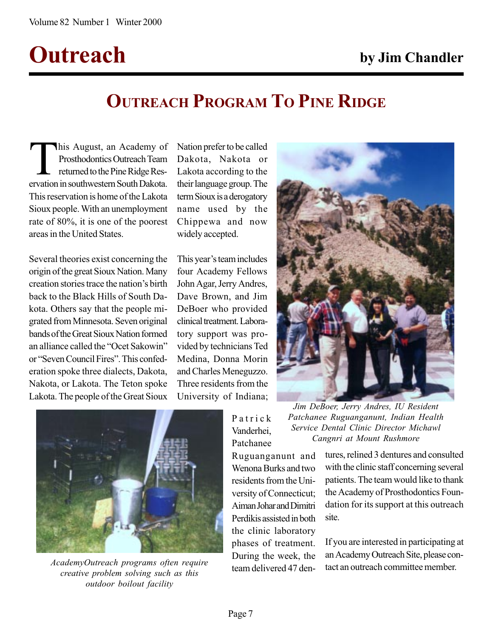## Outreach by Jim Chandler

## OUTREACH PROGRAM TO PINE RIDGE

This August, an Academy of<br>Prosthodontics Outreach Team<br>returned to the Pine Ridge Reservation in southwestern South Dakota Prosthodontics Outreach Team returned to the Pine Ridge Reservation in southwestern South Dakota. This reservation is home of the Lakota Sioux people. With an unemployment rate of 80%, it is one of the poorest areas in the United States.

Several theories exist concerning the origin of the great Sioux Nation. Many creation stories trace the nation's birth back to the Black Hills of South Dakota. Others say that the people migrated from Minnesota. Seven original bands of the Great Sioux Nation formed an alliance called the "Ocet Sakowin" or "Seven Council Fires". This confederation spoke three dialects, Dakota, Nakota, or Lakota. The Teton spoke Lakota. The people of the Great Sioux Nation prefer to be called Dakota, Nakota or Lakota according to the their language group. The term Sioux is a derogatory name used by the Chippewa and now widely accepted.

This year's team includes four Academy Fellows John Agar, Jerry Andres, Dave Brown, and Jim DeBoer who provided clinical treatment. Laboratory support was provided by technicians Ted Medina, Donna Morin and Charles Meneguzzo. Three residents from the University of Indiana;







AcademyOutreach programs often require<br>team delivered 47 dencreative problem solving such as this outdoor boilout facility

Patrick Vanderhei, Patchanee

Ruguanganunt and Wenona Burks and two residents from the University of Connecticut; Aiman Johar and Dimitri Perdikis assisted in both the clinic laboratory phases of treatment. During the week, the

tures, relined 3 dentures and consulted with the clinic staff concerning several patients. The team would like to thank the Academy of Prosthodontics Foundation for its support at this outreach site.

If you are interested in participating at an Academy Outreach Site, please contact an outreach committee member.